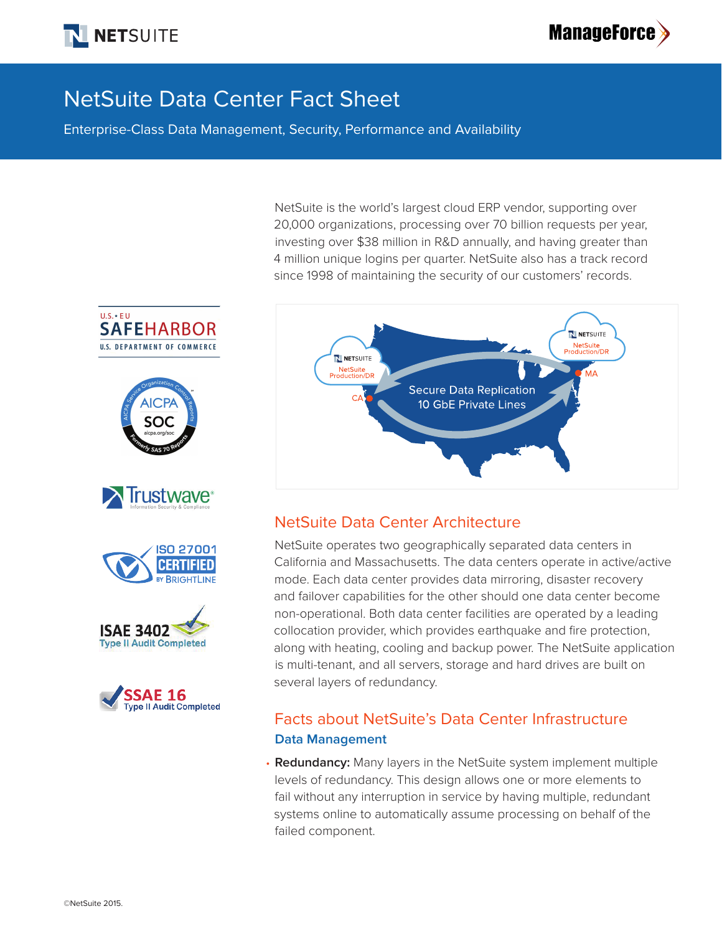



# NetSuite Data Center Fact Sheet

Enterprise-Class Data Management, Security, Performance and Availability

NetSuite is the world's largest cloud ERP vendor, supporting over 20,000 organizations, processing over 70 billion requests per year, investing over \$38 million in R&D annually, and having greater than 4 million unique logins per quarter. NetSuite also has a track record since 1998 of maintaining the security of our customers' records.



## NetSuite Data Center Architecture

NetSuite operates two geographically separated data centers in California and Massachusetts. The data centers operate in active/active mode. Each data center provides data mirroring, disaster recovery and failover capabilities for the other should one data center become non-operational. Both data center facilities are operated by a leading collocation provider, which provides earthquake and fire protection, along with heating, cooling and backup power. The NetSuite application is multi-tenant, and all servers, storage and hard drives are built on several layers of redundancy.

## Facts about NetSuite's Data Center Infrastructure **Data Management**

• **Redundancy:** Many layers in the NetSuite system implement multiple levels of redundancy. This design allows one or more elements to fail without any interruption in service by having multiple, redundant systems online to automatically assume processing on behalf of the failed component.











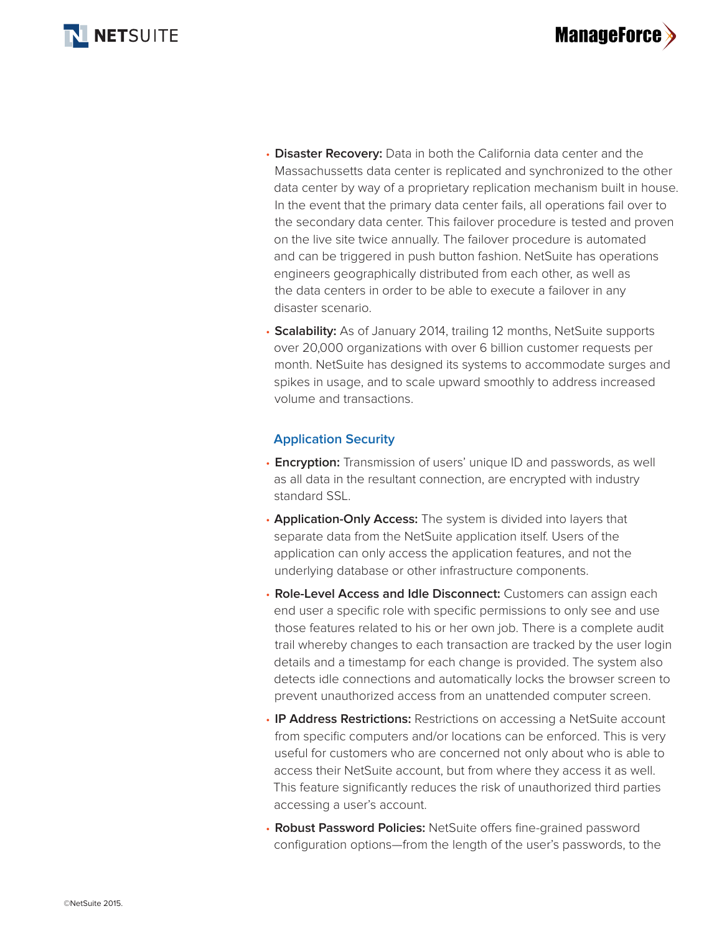



- **Disaster Recovery:** Data in both the California data center and the Massachussetts data center is replicated and synchronized to the other data center by way of a proprietary replication mechanism built in house. In the event that the primary data center fails, all operations fail over to the secondary data center. This failover procedure is tested and proven on the live site twice annually. The failover procedure is automated and can be triggered in push button fashion. NetSuite has operations engineers geographically distributed from each other, as well as the data centers in order to be able to execute a failover in any disaster scenario.
- **Scalability:** As of January 2014, trailing 12 months, NetSuite supports over 20,000 organizations with over 6 billion customer requests per month. NetSuite has designed its systems to accommodate surges and spikes in usage, and to scale upward smoothly to address increased volume and transactions.

### **Application Security**

- **Encryption:** Transmission of users' unique ID and passwords, as well as all data in the resultant connection, are encrypted with industry standard SSL.
- **Application-Only Access:** The system is divided into layers that separate data from the NetSuite application itself. Users of the application can only access the application features, and not the underlying database or other infrastructure components.
- **Role-Level Access and Idle Disconnect:** Customers can assign each end user a specific role with specific permissions to only see and use those features related to his or her own job. There is a complete audit trail whereby changes to each transaction are tracked by the user login details and a timestamp for each change is provided. The system also detects idle connections and automatically locks the browser screen to prevent unauthorized access from an unattended computer screen.
- **IP Address Restrictions:** Restrictions on accessing a NetSuite account from specific computers and/or locations can be enforced. This is very useful for customers who are concerned not only about who is able to access their NetSuite account, but from where they access it as well. This feature significantly reduces the risk of unauthorized third parties accessing a user's account.
- **Robust Password Policies:** NetSuite offers fine-grained password configuration options—from the length of the user's passwords, to the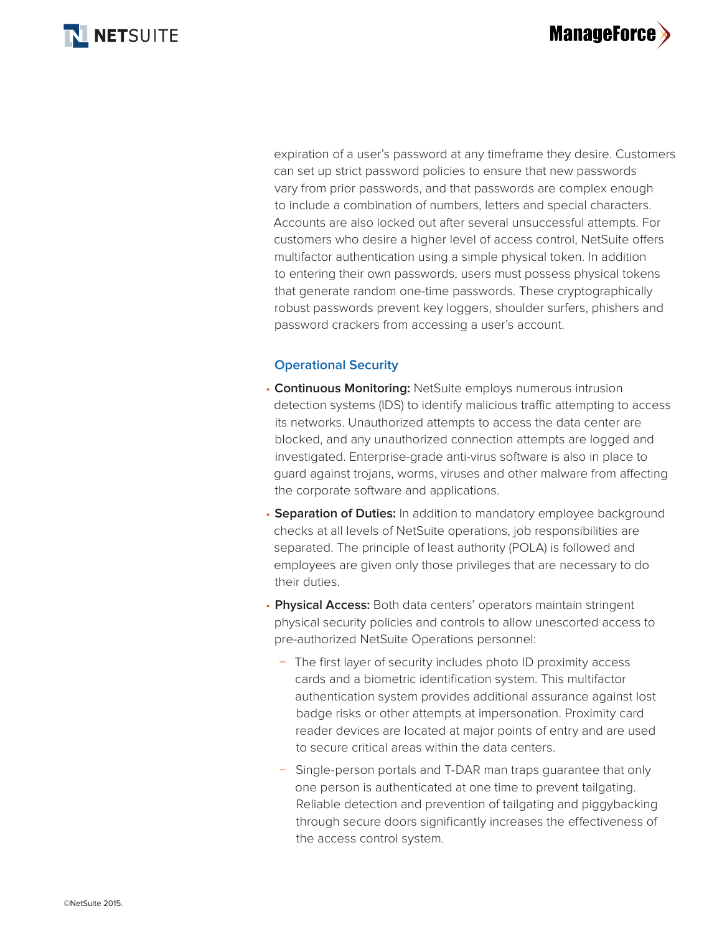

**ManageForce>** 

expiration of a user's password at any timeframe they desire. Customers can set up strict password policies to ensure that new passwords vary from prior passwords, and that passwords are complex enough to include a combination of numbers, letters and special characters. Accounts are also locked out after several unsuccessful attempts. For customers who desire a higher level of access control, NetSuite offers multifactor authentication using a simple physical token. In addition to entering their own passwords, users must possess physical tokens that generate random one-time passwords. These cryptographically robust passwords prevent key loggers, shoulder surfers, phishers and password crackers from accessing a user's account.

#### **Operational Security**

- **Continuous Monitoring:** NetSuite employs numerous intrusion detection systems (IDS) to identify malicious traffic attempting to access its networks. Unauthorized attempts to access the data center are blocked, and any unauthorized connection attempts are logged and investigated. Enterprise-grade anti-virus software is also in place to guard against trojans, worms, viruses and other malware from affecting the corporate software and applications.
- **Separation of Duties:** In addition to mandatory employee background checks at all levels of NetSuite operations, job responsibilities are separated. The principle of least authority (POLA) is followed and employees are given only those privileges that are necessary to do their duties.
- **Physical Access:** Both data centers' operators maintain stringent physical security policies and controls to allow unescorted access to pre-authorized NetSuite Operations personnel:
	- − The first layer of security includes photo ID proximity access cards and a biometric identification system. This multifactor authentication system provides additional assurance against lost badge risks or other attempts at impersonation. Proximity card reader devices are located at major points of entry and are used to secure critical areas within the data centers.
	- Single-person portals and T-DAR man traps guarantee that only one person is authenticated at one time to prevent tailgating. Reliable detection and prevention of tailgating and piggybacking through secure doors significantly increases the effectiveness of the access control system.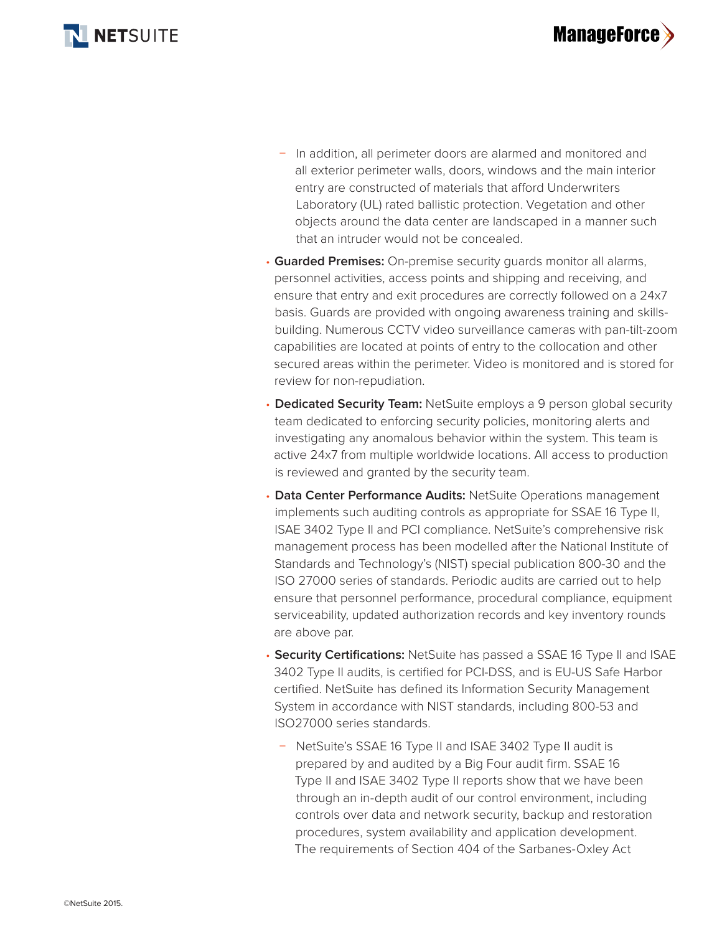

- − In addition, all perimeter doors are alarmed and monitored and all exterior perimeter walls, doors, windows and the main interior entry are constructed of materials that afford Underwriters Laboratory (UL) rated ballistic protection. Vegetation and other objects around the data center are landscaped in a manner such that an intruder would not be concealed.
- **Guarded Premises:** On-premise security guards monitor all alarms, personnel activities, access points and shipping and receiving, and ensure that entry and exit procedures are correctly followed on a 24x7 basis. Guards are provided with ongoing awareness training and skillsbuilding. Numerous CCTV video surveillance cameras with pan-tilt-zoom capabilities are located at points of entry to the collocation and other secured areas within the perimeter. Video is monitored and is stored for review for non-repudiation.
- **Dedicated Security Team:** NetSuite employs a 9 person global security team dedicated to enforcing security policies, monitoring alerts and investigating any anomalous behavior within the system. This team is active 24x7 from multiple worldwide locations. All access to production is reviewed and granted by the security team.
- **Data Center Performance Audits:** NetSuite Operations management implements such auditing controls as appropriate for SSAE 16 Type II, ISAE 3402 Type II and PCI compliance. NetSuite's comprehensive risk management process has been modelled after the National Institute of Standards and Technology's (NIST) special publication 800-30 and the ISO 27000 series of standards. Periodic audits are carried out to help ensure that personnel performance, procedural compliance, equipment serviceability, updated authorization records and key inventory rounds are above par.
- **Security Certifications:** NetSuite has passed a SSAE 16 Type II and ISAE 3402 Type II audits, is certified for PCI-DSS, and is EU-US Safe Harbor certified. NetSuite has defined its Information Security Management System in accordance with NIST standards, including 800-53 and ISO27000 series standards.
	- − NetSuite's SSAE 16 Type II and ISAE 3402 Type II audit is prepared by and audited by a Big Four audit firm. SSAE 16 Type II and ISAE 3402 Type II reports show that we have been through an in-depth audit of our control environment, including controls over data and network security, backup and restoration procedures, system availability and application development. The requirements of Section 404 of the Sarbanes-Oxley Act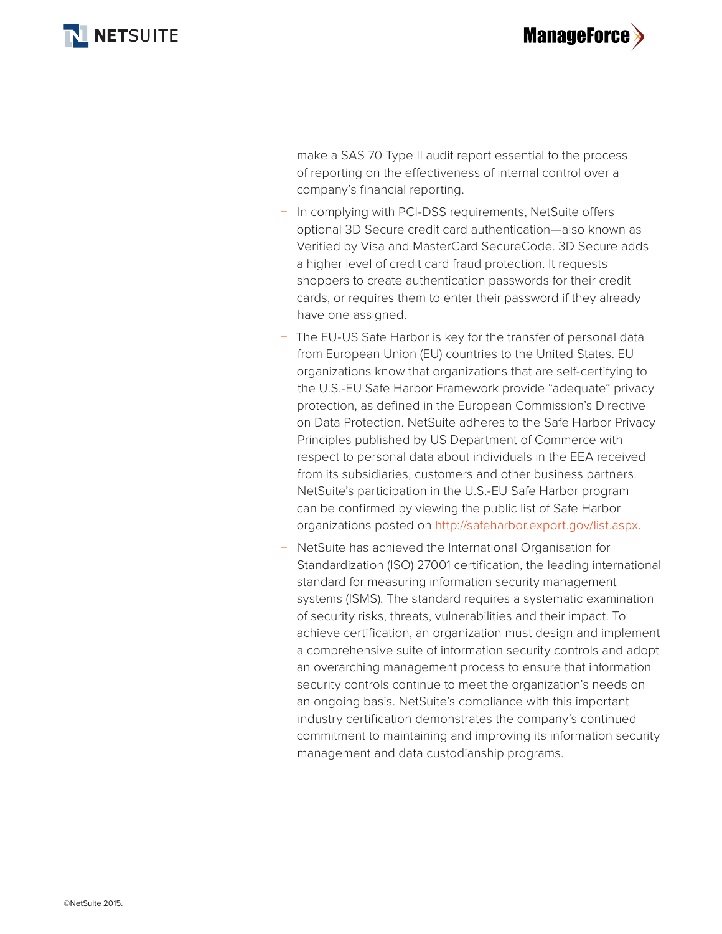



make a SAS 70 Type II audit report essential to the process of reporting on the effectiveness of internal control over a company's financial reporting.

- In complying with PCI-DSS requirements, NetSuite offers optional 3D Secure credit card authentication—also known as Verified by Visa and MasterCard SecureCode. 3D Secure adds a higher level of credit card fraud protection. It requests shoppers to create authentication passwords for their credit cards, or requires them to enter their password if they already have one assigned.
- The EU-US Safe Harbor is key for the transfer of personal data from European Union (EU) countries to the United States. EU organizations know that organizations that are self-certifying to the U.S.-EU Safe Harbor Framework provide "adequate" privacy protection, as defined in the European Commission's Directive on Data Protection. NetSuite adheres to the Safe Harbor Privacy Principles published by US Department of Commerce with respect to personal data about individuals in the EEA received from its subsidiaries, customers and other business partners. NetSuite's participation in the U.S.-EU Safe Harbor program can be confirmed by viewing the public list of Safe Harbor organizations posted on http://safeharbor.export.gov/list.aspx.
- − NetSuite has achieved the International Organisation for Standardization (ISO) 27001 certification, the leading international standard for measuring information security management systems (ISMS). The standard requires a systematic examination of security risks, threats, vulnerabilities and their impact. To achieve certification, an organization must design and implement a comprehensive suite of information security controls and adopt an overarching management process to ensure that information security controls continue to meet the organization's needs on an ongoing basis. NetSuite's compliance with this important industry certification demonstrates the company's continued commitment to maintaining and improving its information security management and data custodianship programs.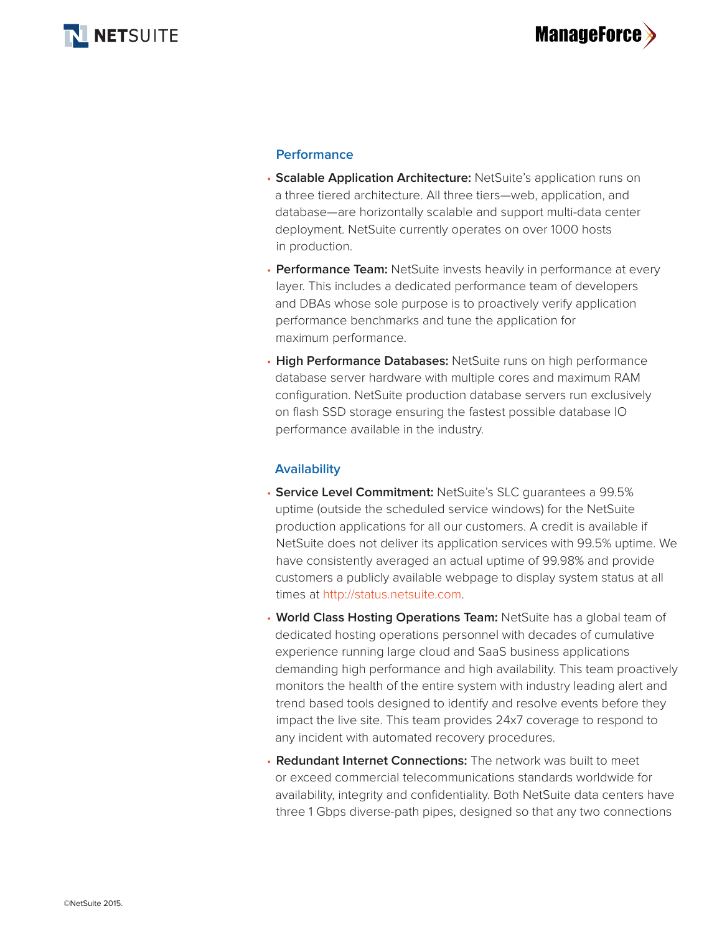

#### **Performance**

- **Scalable Application Architecture:** NetSuite's application runs on a three tiered architecture. All three tiers—web, application, and database—are horizontally scalable and support multi-data center deployment. NetSuite currently operates on over 1000 hosts in production.
- **Performance Team:** NetSuite invests heavily in performance at every layer. This includes a dedicated performance team of developers and DBAs whose sole purpose is to proactively verify application performance benchmarks and tune the application for maximum performance.
- **High Performance Databases:** NetSuite runs on high performance database server hardware with multiple cores and maximum RAM configuration. NetSuite production database servers run exclusively on flash SSD storage ensuring the fastest possible database IO performance available in the industry.

#### **Availability**

- **Service Level Commitment:** NetSuite's SLC guarantees a 99.5% uptime (outside the scheduled service windows) for the NetSuite production applications for all our customers. A credit is available if NetSuite does not deliver its application services with 99.5% uptime. We have consistently averaged an actual uptime of 99.98% and provide customers a publicly available webpage to display system status at all times at http://status.netsuite.com.
- **World Class Hosting Operations Team:** NetSuite has a global team of dedicated hosting operations personnel with decades of cumulative experience running large cloud and SaaS business applications demanding high performance and high availability. This team proactively monitors the health of the entire system with industry leading alert and trend based tools designed to identify and resolve events before they impact the live site. This team provides 24x7 coverage to respond to any incident with automated recovery procedures.
- **Redundant Internet Connections:** The network was built to meet or exceed commercial telecommunications standards worldwide for availability, integrity and confidentiality. Both NetSuite data centers have three 1 Gbps diverse-path pipes, designed so that any two connections